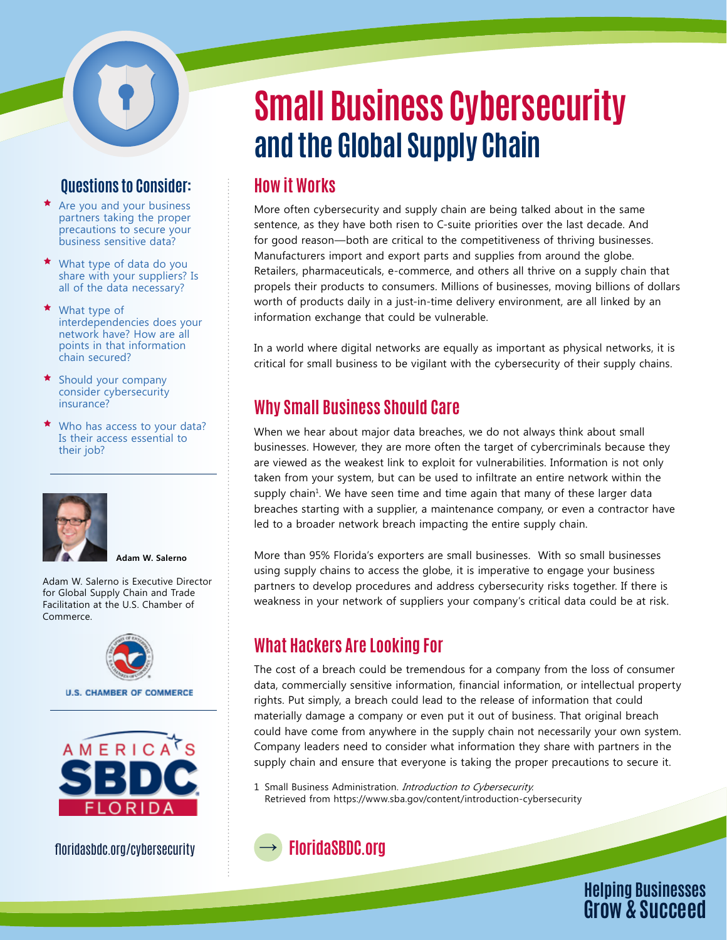#### **Questions to Consider:**

- $\star$  Are you and your business partners taking the proper precautions to secure your business sensitive data?
- What type of data do you share with your suppliers? Is all of the data necessary?
- ★ What type of interdependencies does your network have? How are all points in that information chain secured?
- Should your company consider cybersecurity insurance?
- ★ Who has access to your data? Is their access essential to their job?



**Adam W. Salerno**

Adam W. Salerno is Executive Director for Global Supply Chain and Trade Facilitation at the U.S. Chamber of Commerce.



**U.S. CHAMBER OF COMMERCE** 



floridasbdc.org/cybersecurity

# **Small Business Cybersecurity and the Global Supply Chain**

#### **How it Works**

More often cybersecurity and supply chain are being talked about in the same sentence, as they have both risen to C-suite priorities over the last decade. And for good reason—both are critical to the competitiveness of thriving businesses. Manufacturers import and export parts and supplies from around the globe. Retailers, pharmaceuticals, e-commerce, and others all thrive on a supply chain that propels their products to consumers. Millions of businesses, moving billions of dollars worth of products daily in a just-in-time delivery environment, are all linked by an information exchange that could be vulnerable.

In a world where digital networks are equally as important as physical networks, it is critical for small business to be vigilant with the cybersecurity of their supply chains.

## **Why Small Business Should Care**

When we hear about major data breaches, we do not always think about small businesses. However, they are more often the target of cybercriminals because they are viewed as the weakest link to exploit for vulnerabilities. Information is not only taken from your system, but can be used to infiltrate an entire network within the supply chain<sup>1</sup>. We have seen time and time again that many of these larger data breaches starting with a supplier, a maintenance company, or even a contractor have led to a broader network breach impacting the entire supply chain.

More than 95% Florida's exporters are small businesses. With so small businesses using supply chains to access the globe, it is imperative to engage your business partners to develop procedures and address cybersecurity risks together. If there is weakness in your network of suppliers your company's critical data could be at risk.

#### **What Hackers Are Looking For**

The cost of a breach could be tremendous for a company from the loss of consumer data, commercially sensitive information, financial information, or intellectual property rights. Put simply, a breach could lead to the release of information that could materially damage a company or even put it out of business. That original breach could have come from anywhere in the supply chain not necessarily your own system. Company leaders need to consider what information they share with partners in the supply chain and ensure that everyone is taking the proper precautions to secure it.

1 Small Business Administration. *Introduction to Cybersecurity*. Retrieved from https://www.sba.gov/content/introduction-cybersecurity

# **FloridaSBDC.org**

**Helping Businesses Grow & Succeed**